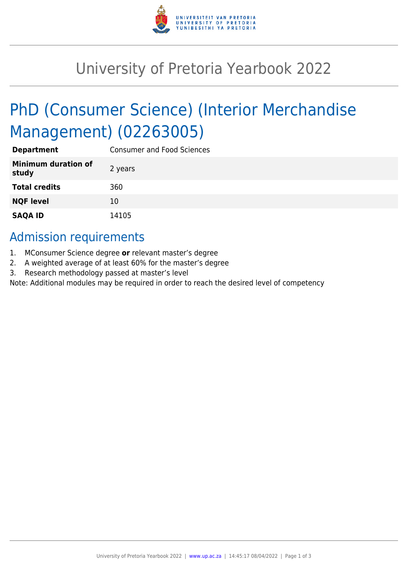

## University of Pretoria Yearbook 2022

# PhD (Consumer Science) (Interior Merchandise Management) (02263005)

| <b>Department</b>                   | <b>Consumer and Food Sciences</b> |
|-------------------------------------|-----------------------------------|
| <b>Minimum duration of</b><br>study | 2 years                           |
| <b>Total credits</b>                | 360                               |
| <b>NQF level</b>                    | 10                                |
| <b>SAQA ID</b>                      | 14105                             |

### Admission requirements

- 1. MConsumer Science degree **or** relevant master's degree
- 2. A weighted average of at least 60% for the master's degree
- 3. Research methodology passed at master's level

Note: Additional modules may be required in order to reach the desired level of competency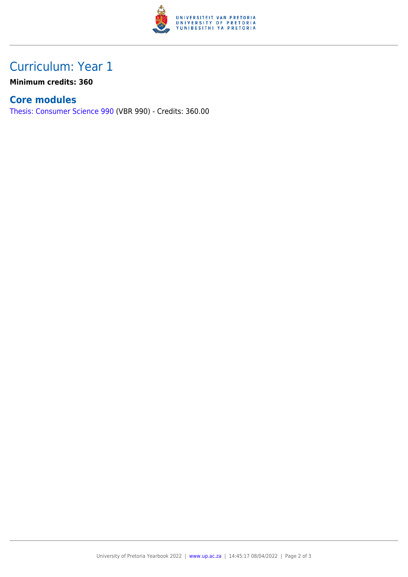

## Curriculum: Year 1

**Minimum credits: 360**

#### **Core modules**

[Thesis: Consumer Science 990](https://www.up.ac.za/faculty-of-education/yearbooks/2022/modules/view/VBR 990) (VBR 990) - Credits: 360.00